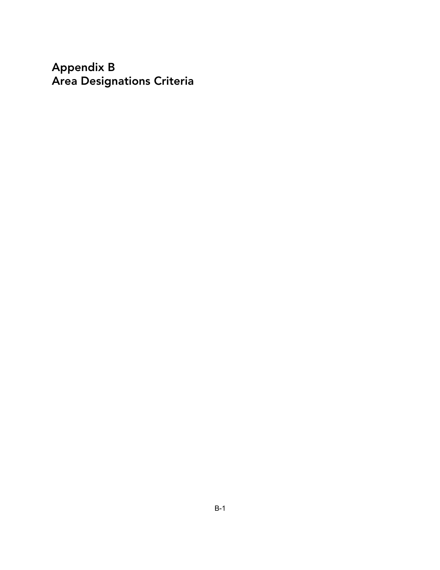**Appendix B Area Designations Criteria**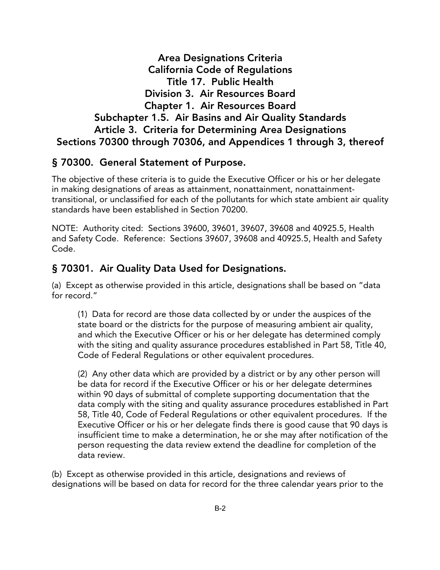**Area Designations Criteria California Code of Regulations Title 17. Public Health Division 3. Air Resources Board Chapter 1. Air Resources Board Subchapter 1.5. Air Basins and Air Quality Standards Article 3. Criteria for Determining Area Designations Sections 70300 through 70306, and Appendices 1 through 3, thereof**

#### **§ 70300. General Statement of Purpose.**

The objective of these criteria is to guide the Executive Officer or his or her delegate in making designations of areas as attainment, nonattainment, nonattainmenttransitional, or unclassified for each of the pollutants for which state ambient air quality standards have been established in Section 70200.

NOTE: Authority cited: Sections 39600, 39601, 39607, 39608 and 40925.5, Health and Safety Code. Reference: Sections 39607, 39608 and 40925.5, Health and Safety Code.

### **§ 70301. Air Quality Data Used for Designations.**

(a) Except as otherwise provided in this article, designations shall be based on "data for record."

(1) Data for record are those data collected by or under the auspices of the state board or the districts for the purpose of measuring ambient air quality, and which the Executive Officer or his or her delegate has determined comply with the siting and quality assurance procedures established in Part 58, Title 40, Code of Federal Regulations or other equivalent procedures.

(2) Any other data which are provided by a district or by any other person will be data for record if the Executive Officer or his or her delegate determines within 90 days of submittal of complete supporting documentation that the data comply with the siting and quality assurance procedures established in Part 58, Title 40, Code of Federal Regulations or other equivalent procedures. If the Executive Officer or his or her delegate finds there is good cause that 90 days is insufficient time to make a determination, he or she may after notification of the person requesting the data review extend the deadline for completion of the data review.

(b) Except as otherwise provided in this article, designations and reviews of designations will be based on data for record for the three calendar years prior to the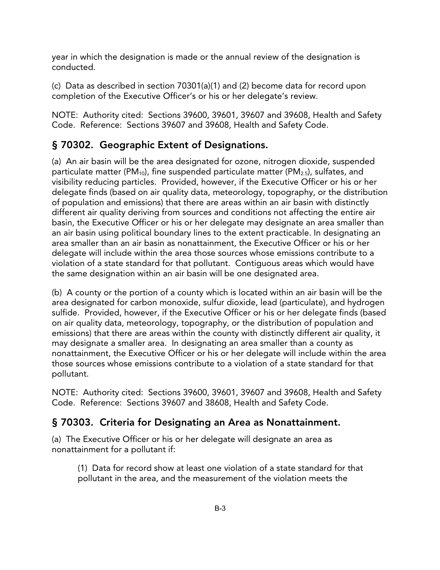year in which the designation is made or the annual review of the designation is conducted.

(c) Data as described in section 70301(a)(1) and (2) become data for record upon completion of the Executive Officer's or his or her delegate's review.

NOTE: Authority cited: Sections 39600, 39601, 39607 and 39608, Health and Safety Code. Reference: Sections 39607 and 39608, Health and Safety Code.

## **§ 70302. Geographic Extent of Designations.**

(a) An air basin will be the area designated for ozone, nitrogen dioxide, suspended particulate matter (PM<sub>10</sub>), fine suspended particulate matter (PM<sub>2.5</sub>), sulfates, and visibility reducing particles. Provided, however, if the Executive Officer or his or her delegate finds (based on air quality data, meteorology, topography, or the distribution of population and emissions) that there are areas within an air basin with distinctly different air quality deriving from sources and conditions not affecting the entire air basin, the Executive Officer or his or her delegate may designate an area smaller than an air basin using political boundary lines to the extent practicable. In designating an area smaller than an air basin as nonattainment, the Executive Officer or his or her delegate will include within the area those sources whose emissions contribute to a violation of a state standard for that pollutant. Contiguous areas which would have the same designation within an air basin will be one designated area.

(b) A county or the portion of a county which is located within an air basin will be the area designated for carbon monoxide, sulfur dioxide, lead (particulate), and hydrogen sulfide. Provided, however, if the Executive Officer or his or her delegate finds (based on air quality data, meteorology, topography, or the distribution of population and emissions) that there are areas within the county with distinctly different air quality, it may designate a smaller area. In designating an area smaller than a county as nonattainment, the Executive Officer or his or her delegate will include within the area those sources whose emissions contribute to a violation of a state standard for that pollutant.

NOTE: Authority cited: Sections 39600, 39601, 39607 and 39608, Health and Safety Code. Reference: Sections 39607 and 38608, Health and Safety Code.

## **§ 70303. Criteria for Designating an Area as Nonattainment.**

(a) The Executive Officer or his or her delegate will designate an area as nonattainment for a pollutant if:

(1) Data for record show at least one violation of a state standard for that pollutant in the area, and the measurement of the violation meets the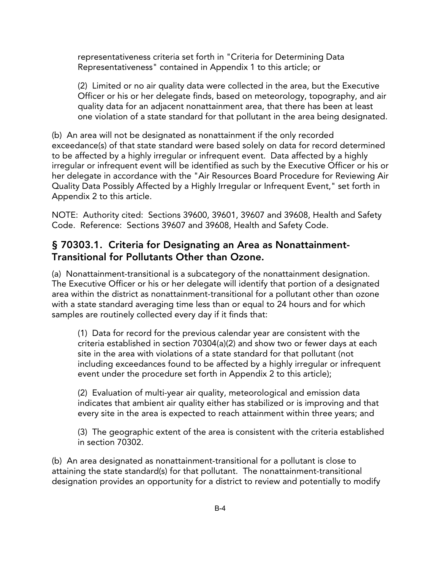representativeness criteria set forth in "Criteria for Determining Data Representativeness" contained in Appendix 1 to this article; or

(2) Limited or no air quality data were collected in the area, but the Executive Officer or his or her delegate finds, based on meteorology, topography, and air quality data for an adjacent nonattainment area, that there has been at least one violation of a state standard for that pollutant in the area being designated.

(b) An area will not be designated as nonattainment if the only recorded exceedance(s) of that state standard were based solely on data for record determined to be affected by a highly irregular or infrequent event. Data affected by a highly irregular or infrequent event will be identified as such by the Executive Officer or his or her delegate in accordance with the "Air Resources Board Procedure for Reviewing Air Quality Data Possibly Affected by a Highly Irregular or Infrequent Event," set forth in Appendix 2 to this article.

NOTE: Authority cited: Sections 39600, 39601, 39607 and 39608, Health and Safety Code. Reference: Sections 39607 and 39608, Health and Safety Code.

## **§ 70303.1. Criteria for Designating an Area as Nonattainment-Transitional for Pollutants Other than Ozone.**

(a) Nonattainment-transitional is a subcategory of the nonattainment designation. The Executive Officer or his or her delegate will identify that portion of a designated area within the district as nonattainment-transitional for a pollutant other than ozone with a state standard averaging time less than or equal to 24 hours and for which samples are routinely collected every day if it finds that:

(1) Data for record for the previous calendar year are consistent with the criteria established in section 70304(a)(2) and show two or fewer days at each site in the area with violations of a state standard for that pollutant (not including exceedances found to be affected by a highly irregular or infrequent event under the procedure set forth in Appendix 2 to this article);

(2) Evaluation of multi-year air quality, meteorological and emission data indicates that ambient air quality either has stabilized or is improving and that every site in the area is expected to reach attainment within three years; and

(3) The geographic extent of the area is consistent with the criteria established in section 70302.

(b) An area designated as nonattainment-transitional for a pollutant is close to attaining the state standard(s) for that pollutant. The nonattainment-transitional designation provides an opportunity for a district to review and potentially to modify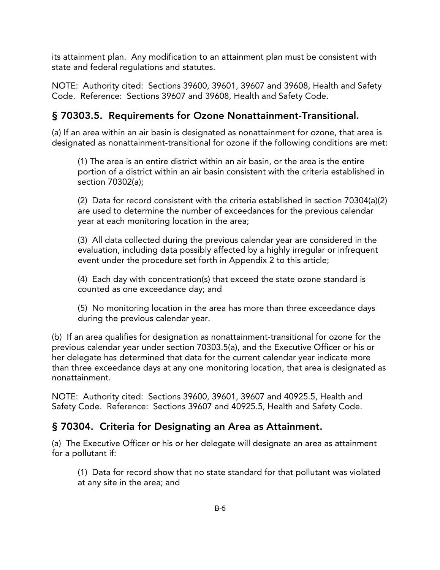its attainment plan. Any modification to an attainment plan must be consistent with state and federal regulations and statutes.

NOTE: Authority cited: Sections 39600, 39601, 39607 and 39608, Health and Safety Code. Reference: Sections 39607 and 39608, Health and Safety Code.

# **§ 70303.5. Requirements for Ozone Nonattainment-Transitional.**

(a) If an area within an air basin is designated as nonattainment for ozone, that area is designated as nonattainment-transitional for ozone if the following conditions are met:

(1) The area is an entire district within an air basin, or the area is the entire portion of a district within an air basin consistent with the criteria established in section 70302(a);

(2) Data for record consistent with the criteria established in section 70304(a)(2) are used to determine the number of exceedances for the previous calendar year at each monitoring location in the area;

(3) All data collected during the previous calendar year are considered in the evaluation, including data possibly affected by a highly irregular or infrequent event under the procedure set forth in Appendix 2 to this article;

(4) Each day with concentration(s) that exceed the state ozone standard is counted as one exceedance day; and

(5) No monitoring location in the area has more than three exceedance days during the previous calendar year.

(b) If an area qualifies for designation as nonattainment-transitional for ozone for the previous calendar year under section 70303.5(a), and the Executive Officer or his or her delegate has determined that data for the current calendar year indicate more than three exceedance days at any one monitoring location, that area is designated as nonattainment.

NOTE: Authority cited: Sections 39600, 39601, 39607 and 40925.5, Health and Safety Code. Reference: Sections 39607 and 40925.5, Health and Safety Code.

## **§ 70304. Criteria for Designating an Area as Attainment.**

(a) The Executive Officer or his or her delegate will designate an area as attainment for a pollutant if:

(1) Data for record show that no state standard for that pollutant was violated at any site in the area; and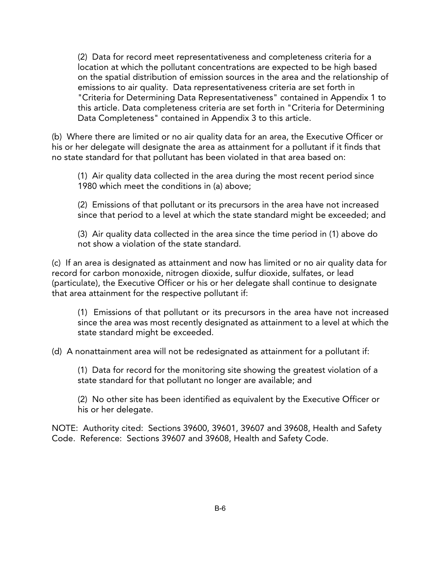(2) Data for record meet representativeness and completeness criteria for a location at which the pollutant concentrations are expected to be high based on the spatial distribution of emission sources in the area and the relationship of emissions to air quality. Data representativeness criteria are set forth in "Criteria for Determining Data Representativeness" contained in Appendix 1 to this article. Data completeness criteria are set forth in "Criteria for Determining Data Completeness" contained in Appendix 3 to this article.

(b) Where there are limited or no air quality data for an area, the Executive Officer or his or her delegate will designate the area as attainment for a pollutant if it finds that no state standard for that pollutant has been violated in that area based on:

(1) Air quality data collected in the area during the most recent period since 1980 which meet the conditions in (a) above;

(2) Emissions of that pollutant or its precursors in the area have not increased since that period to a level at which the state standard might be exceeded; and

(3) Air quality data collected in the area since the time period in (1) above do not show a violation of the state standard.

(c) If an area is designated as attainment and now has limited or no air quality data for record for carbon monoxide, nitrogen dioxide, sulfur dioxide, sulfates, or lead (particulate), the Executive Officer or his or her delegate shall continue to designate that area attainment for the respective pollutant if:

(1) Emissions of that pollutant or its precursors in the area have not increased since the area was most recently designated as attainment to a level at which the state standard might be exceeded.

(d) A nonattainment area will not be redesignated as attainment for a pollutant if:

(1) Data for record for the monitoring site showing the greatest violation of a state standard for that pollutant no longer are available; and

(2) No other site has been identified as equivalent by the Executive Officer or his or her delegate.

NOTE: Authority cited: Sections 39600, 39601, 39607 and 39608, Health and Safety Code. Reference: Sections 39607 and 39608, Health and Safety Code.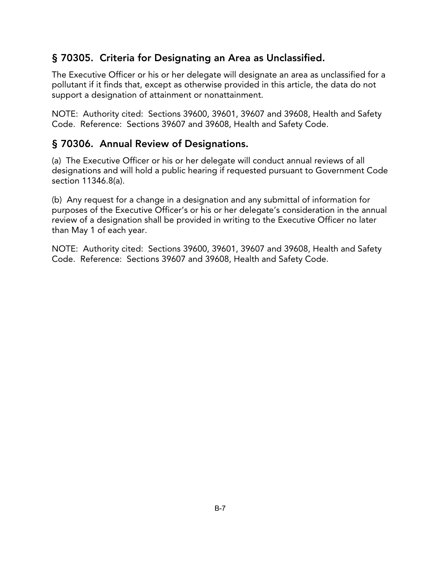## **§ 70305. Criteria for Designating an Area as Unclassified.**

The Executive Officer or his or her delegate will designate an area as unclassified for a pollutant if it finds that, except as otherwise provided in this article, the data do not support a designation of attainment or nonattainment.

NOTE: Authority cited: Sections 39600, 39601, 39607 and 39608, Health and Safety Code. Reference: Sections 39607 and 39608, Health and Safety Code.

## **§ 70306. Annual Review of Designations.**

(a) The Executive Officer or his or her delegate will conduct annual reviews of all designations and will hold a public hearing if requested pursuant to Government Code section 11346.8(a).

(b) Any request for a change in a designation and any submittal of information for purposes of the Executive Officer's or his or her delegate's consideration in the annual review of a designation shall be provided in writing to the Executive Officer no later than May 1 of each year.

NOTE: Authority cited: Sections 39600, 39601, 39607 and 39608, Health and Safety Code. Reference: Sections 39607 and 39608, Health and Safety Code.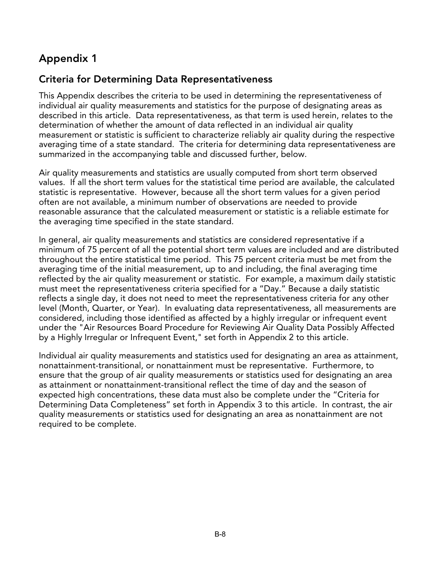# **Appendix 1**

# **Criteria for Determining Data Representativeness**

This Appendix describes the criteria to be used in determining the representativeness of individual air quality measurements and statistics for the purpose of designating areas as described in this article. Data representativeness, as that term is used herein, relates to the determination of whether the amount of data reflected in an individual air quality measurement or statistic is sufficient to characterize reliably air quality during the respective averaging time of a state standard. The criteria for determining data representativeness are summarized in the accompanying table and discussed further, below.

Air quality measurements and statistics are usually computed from short term observed values. If all the short term values for the statistical time period are available, the calculated statistic is representative. However, because all the short term values for a given period often are not available, a minimum number of observations are needed to provide reasonable assurance that the calculated measurement or statistic is a reliable estimate for the averaging time specified in the state standard.

In general, air quality measurements and statistics are considered representative if a minimum of 75 percent of all the potential short term values are included and are distributed throughout the entire statistical time period. This 75 percent criteria must be met from the averaging time of the initial measurement, up to and including, the final averaging time reflected by the air quality measurement or statistic. For example, a maximum daily statistic must meet the representativeness criteria specified for a "Day." Because a daily statistic reflects a single day, it does not need to meet the representativeness criteria for any other level (Month, Quarter, or Year). In evaluating data representativeness, all measurements are considered, including those identified as affected by a highly irregular or infrequent event under the "Air Resources Board Procedure for Reviewing Air Quality Data Possibly Affected by a Highly Irregular or Infrequent Event," set forth in Appendix 2 to this article.

Individual air quality measurements and statistics used for designating an area as attainment, nonattainment-transitional, or nonattainment must be representative. Furthermore, to ensure that the group of air quality measurements or statistics used for designating an area as attainment or nonattainment-transitional reflect the time of day and the season of expected high concentrations, these data must also be complete under the "Criteria for Determining Data Completeness" set forth in Appendix 3 to this article. In contrast, the air quality measurements or statistics used for designating an area as nonattainment are not required to be complete.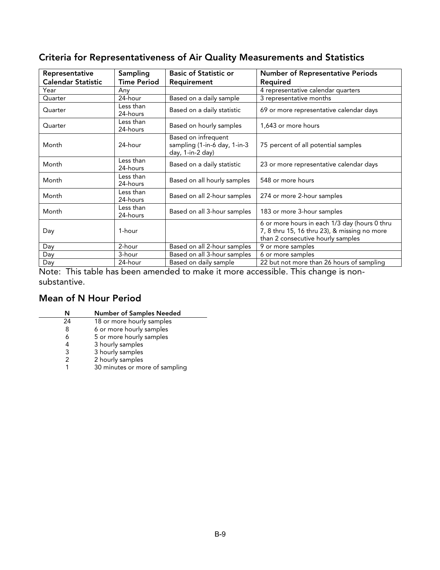# **Criteria for Representativeness of Air Quality Measurements and Statistics**

| Representative            | Sampling           | <b>Basic of Statistic or</b> | <b>Number of Representative Periods</b>       |
|---------------------------|--------------------|------------------------------|-----------------------------------------------|
| <b>Calendar Statistic</b> | <b>Time Period</b> | Requirement                  | Required                                      |
| Year                      |                    |                              |                                               |
|                           | Anv                |                              | 4 representative calendar quarters            |
| Quarter                   | 24-hour            | Based on a daily sample      | 3 representative months                       |
| Quarter                   | Less than          |                              | 69 or more representative calendar days       |
|                           | 24-hours           | Based on a daily statistic   |                                               |
| Quarter                   | Less than          |                              | 1,643 or more hours                           |
|                           | 24-hours           | Based on hourly samples      |                                               |
|                           |                    | Based on infrequent          |                                               |
| Month                     | 24-hour            | sampling (1-in-6 day, 1-in-3 | 75 percent of all potential samples           |
|                           |                    | day, 1-in-2 day)             |                                               |
| Month                     | Less than          |                              | 23 or more representative calendar days       |
|                           | 24-hours           | Based on a daily statistic   |                                               |
| Month                     | Less than          |                              | 548 or more hours                             |
|                           | 24-hours           | Based on all hourly samples  |                                               |
| Month                     | Less than          | Based on all 2-hour samples  |                                               |
|                           | 24-hours           |                              | 274 or more 2-hour samples                    |
| Month                     | Less than          | Based on all 3-hour samples  | 183 or more 3-hour samples                    |
|                           | 24-hours           |                              |                                               |
|                           |                    |                              | 6 or more hours in each 1/3 day (hours 0 thru |
| Day                       | 1-hour             |                              | 7, 8 thru 15, 16 thru 23), & missing no more  |
|                           |                    |                              | than 2 consecutive hourly samples             |
| Day                       | 2-hour             | Based on all 2-hour samples  | 9 or more samples                             |
| Day                       | 3-hour             | Based on all 3-hour samples  | 6 or more samples                             |
| Day                       | 24-hour            | Based on daily sample        | 22 but not more than 26 hours of sampling     |

Note: This table has been amended to make it more accessible. This change is nonsubstantive.

## **Mean of N Hour Period**

| N  | <b>Number of Samples Needed</b> |
|----|---------------------------------|
| 24 | 18 or more hourly samples       |
| 8  | 6 or more hourly samples        |
| 6  | 5 or more hourly samples        |
|    | 3 hourly samples                |
| 3  | 3 hourly samples                |
|    | 2 hourly samples                |
|    | 30 minutes or more of sampling  |
|    |                                 |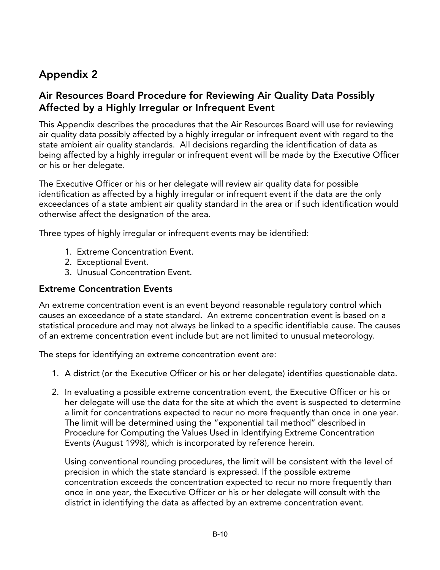# **Appendix 2**

## **Air Resources Board Procedure for Reviewing Air Quality Data Possibly Affected by a Highly Irregular or Infrequent Event**

This Appendix describes the procedures that the Air Resources Board will use for reviewing air quality data possibly affected by a highly irregular or infrequent event with regard to the state ambient air quality standards. All decisions regarding the identification of data as being affected by a highly irregular or infrequent event will be made by the Executive Officer or his or her delegate.

The Executive Officer or his or her delegate will review air quality data for possible identification as affected by a highly irregular or infrequent event if the data are the only exceedances of a state ambient air quality standard in the area or if such identification would otherwise affect the designation of the area.

Three types of highly irregular or infrequent events may be identified:

- 1. Extreme Concentration Event.
- 2. Exceptional Event.
- 3. Unusual Concentration Event.

#### **Extreme Concentration Events**

An extreme concentration event is an event beyond reasonable regulatory control which causes an exceedance of a state standard. An extreme concentration event is based on a statistical procedure and may not always be linked to a specific identifiable cause. The causes of an extreme concentration event include but are not limited to unusual meteorology.

The steps for identifying an extreme concentration event are:

- 1. A district (or the Executive Officer or his or her delegate) identifies questionable data.
- 2. In evaluating a possible extreme concentration event, the Executive Officer or his or her delegate will use the data for the site at which the event is suspected to determine a limit for concentrations expected to recur no more frequently than once in one year. The limit will be determined using the "exponential tail method" described in Procedure for Computing the Values Used in Identifying Extreme Concentration Events (August 1998), which is incorporated by reference herein.

Using conventional rounding procedures, the limit will be consistent with the level of precision in which the state standard is expressed. If the possible extreme concentration exceeds the concentration expected to recur no more frequently than once in one year, the Executive Officer or his or her delegate will consult with the district in identifying the data as affected by an extreme concentration event.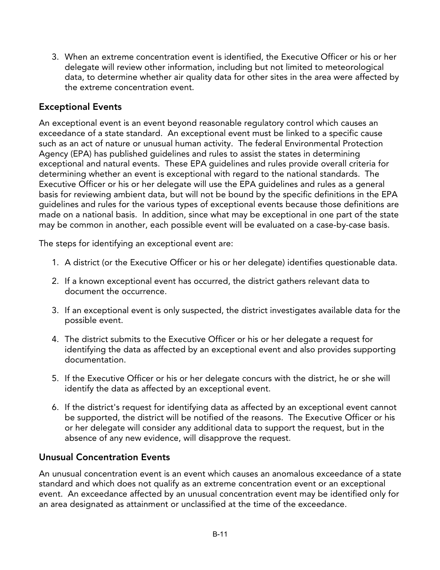3. When an extreme concentration event is identified, the Executive Officer or his or her delegate will review other information, including but not limited to meteorological data, to determine whether air quality data for other sites in the area were affected by the extreme concentration event.

### **Exceptional Events**

An exceptional event is an event beyond reasonable regulatory control which causes an exceedance of a state standard. An exceptional event must be linked to a specific cause such as an act of nature or unusual human activity. The federal Environmental Protection Agency (EPA) has published guidelines and rules to assist the states in determining exceptional and natural events. These EPA guidelines and rules provide overall criteria for determining whether an event is exceptional with regard to the national standards. The Executive Officer or his or her delegate will use the EPA guidelines and rules as a general basis for reviewing ambient data, but will not be bound by the specific definitions in the EPA guidelines and rules for the various types of exceptional events because those definitions are made on a national basis. In addition, since what may be exceptional in one part of the state may be common in another, each possible event will be evaluated on a case-by-case basis.

The steps for identifying an exceptional event are:

- 1. A district (or the Executive Officer or his or her delegate) identifies questionable data.
- 2. If a known exceptional event has occurred, the district gathers relevant data to document the occurrence.
- 3. If an exceptional event is only suspected, the district investigates available data for the possible event.
- 4. The district submits to the Executive Officer or his or her delegate a request for identifying the data as affected by an exceptional event and also provides supporting documentation.
- 5. If the Executive Officer or his or her delegate concurs with the district, he or she will identify the data as affected by an exceptional event.
- 6. If the district's request for identifying data as affected by an exceptional event cannot be supported, the district will be notified of the reasons. The Executive Officer or his or her delegate will consider any additional data to support the request, but in the absence of any new evidence, will disapprove the request.

### **Unusual Concentration Events**

An unusual concentration event is an event which causes an anomalous exceedance of a state standard and which does not qualify as an extreme concentration event or an exceptional event. An exceedance affected by an unusual concentration event may be identified only for an area designated as attainment or unclassified at the time of the exceedance.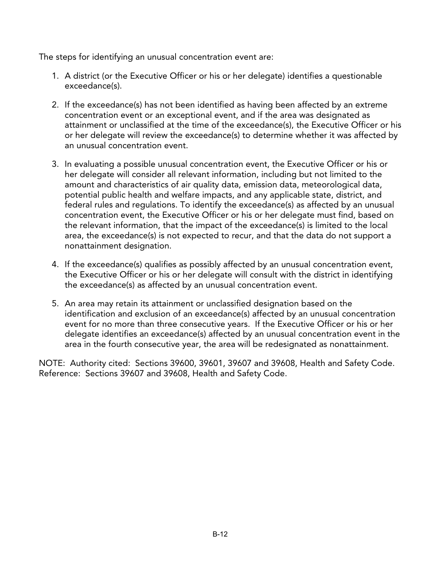The steps for identifying an unusual concentration event are:

- 1. A district (or the Executive Officer or his or her delegate) identifies a questionable exceedance(s).
- 2. If the exceedance(s) has not been identified as having been affected by an extreme concentration event or an exceptional event, and if the area was designated as attainment or unclassified at the time of the exceedance(s), the Executive Officer or his or her delegate will review the exceedance(s) to determine whether it was affected by an unusual concentration event.
- 3. In evaluating a possible unusual concentration event, the Executive Officer or his or her delegate will consider all relevant information, including but not limited to the amount and characteristics of air quality data, emission data, meteorological data, potential public health and welfare impacts, and any applicable state, district, and federal rules and regulations. To identify the exceedance(s) as affected by an unusual concentration event, the Executive Officer or his or her delegate must find, based on the relevant information, that the impact of the exceedance(s) is limited to the local area, the exceedance(s) is not expected to recur, and that the data do not support a nonattainment designation.
- 4. If the exceedance(s) qualifies as possibly affected by an unusual concentration event, the Executive Officer or his or her delegate will consult with the district in identifying the exceedance(s) as affected by an unusual concentration event.
- 5. An area may retain its attainment or unclassified designation based on the identification and exclusion of an exceedance(s) affected by an unusual concentration event for no more than three consecutive years. If the Executive Officer or his or her delegate identifies an exceedance(s) affected by an unusual concentration event in the area in the fourth consecutive year, the area will be redesignated as nonattainment.

NOTE: Authority cited: Sections 39600, 39601, 39607 and 39608, Health and Safety Code. Reference: Sections 39607 and 39608, Health and Safety Code.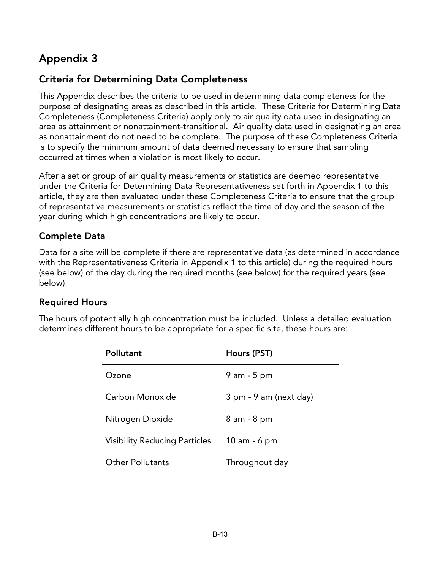# **Appendix 3**

## **Criteria for Determining Data Completeness**

This Appendix describes the criteria to be used in determining data completeness for the purpose of designating areas as described in this article. These Criteria for Determining Data Completeness (Completeness Criteria) apply only to air quality data used in designating an area as attainment or nonattainment-transitional. Air quality data used in designating an area as nonattainment do not need to be complete. The purpose of these Completeness Criteria is to specify the minimum amount of data deemed necessary to ensure that sampling occurred at times when a violation is most likely to occur.

After a set or group of air quality measurements or statistics are deemed representative under the Criteria for Determining Data Representativeness set forth in Appendix 1 to this article, they are then evaluated under these Completeness Criteria to ensure that the group of representative measurements or statistics reflect the time of day and the season of the year during which high concentrations are likely to occur.

## **Complete Data**

Data for a site will be complete if there are representative data (as determined in accordance with the Representativeness Criteria in Appendix 1 to this article) during the required hours (see below) of the day during the required months (see below) for the required years (see below).

### **Required Hours**

The hours of potentially high concentration must be included. Unless a detailed evaluation determines different hours to be appropriate for a specific site, these hours are:

| <b>Pollutant</b>                     | Hours (PST)            |
|--------------------------------------|------------------------|
| Ozone                                | $9$ am $-5$ pm         |
| Carbon Monoxide                      | 3 pm - 9 am (next day) |
| Nitrogen Dioxide                     | 8 am - 8 pm            |
| <b>Visibility Reducing Particles</b> | 10 am - 6 pm           |
| <b>Other Pollutants</b>              | Throughout day         |